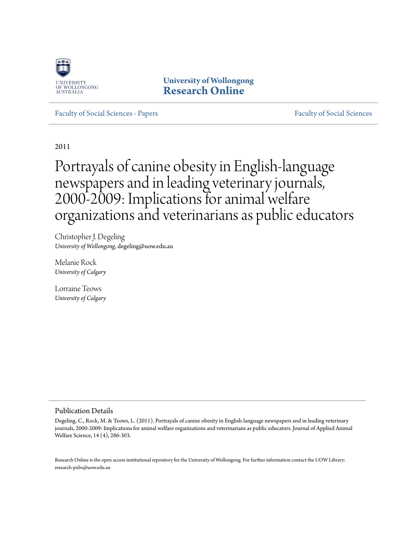

**University of Wollongong [Research Online](http://ro.uow.edu.au)**

[Faculty of Social Sciences - Papers](http://ro.uow.edu.au/sspapers) [Faculty of Social Sciences](http://ro.uow.edu.au/ss) - Papers Faculty of Social Sciences

2011

# Portrayals of canine obesity in English-language newspapers and in leading veterinary journals, 2000-2009: Implications for animal welfare organizations and veterinarians as public educators

Christopher J. Degeling *University of Wollongong*, degeling@uow.edu.au

Melanie Rock *University of Calgary*

Lorraine Teows *University of Calgary*

#### Publication Details

Degeling, C., Rock, M. & Teows, L. (2011). Portrayals of canine obesity in English-language newspapers and in leading veterinary journals, 2000-2009: Implications for animal welfare organizations and veterinarians as public educators. Journal of Applied Animal Welfare Science, 14 (4), 286-303.

Research Online is the open access institutional repository for the University of Wollongong. For further information contact the UOW Library: research-pubs@uow.edu.au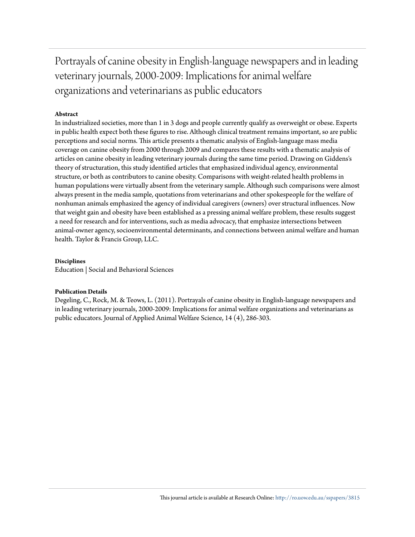Portrayals of canine obesity in English-language newspapers and in leading veterinary journals, 2000-2009: Implications for animal welfare organizations and veterinarians as public educators

#### **Abstract**

In industrialized societies, more than 1 in 3 dogs and people currently qualify as overweight or obese. Experts in public health expect both these figures to rise. Although clinical treatment remains important, so are public perceptions and social norms. This article presents a thematic analysis of English-language mass media coverage on canine obesity from 2000 through 2009 and compares these results with a thematic analysis of articles on canine obesity in leading veterinary journals during the same time period. Drawing on Giddens's theory of structuration, this study identified articles that emphasized individual agency, environmental structure, or both as contributors to canine obesity. Comparisons with weight-related health problems in human populations were virtually absent from the veterinary sample. Although such comparisons were almost always present in the media sample, quotations from veterinarians and other spokespeople for the welfare of nonhuman animals emphasized the agency of individual caregivers (owners) over structural influences. Now that weight gain and obesity have been established as a pressing animal welfare problem, these results suggest a need for research and for interventions, such as media advocacy, that emphasize intersections between animal-owner agency, socioenvironmental determinants, and connections between animal welfare and human health. Taylor & Francis Group, LLC.

#### **Disciplines**

Education | Social and Behavioral Sciences

#### **Publication Details**

Degeling, C., Rock, M. & Teows, L. (2011). Portrayals of canine obesity in English-language newspapers and in leading veterinary journals, 2000-2009: Implications for animal welfare organizations and veterinarians as public educators. Journal of Applied Animal Welfare Science, 14 (4), 286-303.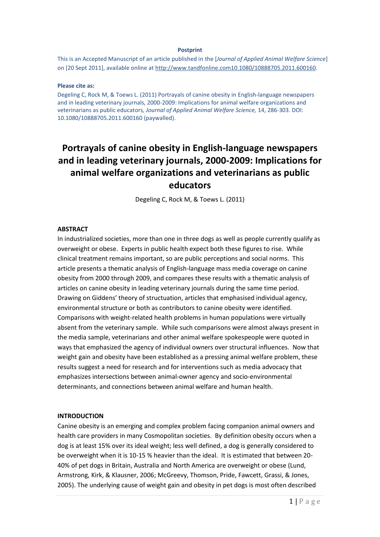#### **Postprint**

This is an Accepted Manuscript of an article published in the [*Journal of Applied Animal Welfare Science*] on [20 Sept 2011], available online at [http://www.tandfonline.com10.1080/10888705.2011.600160.](http://www.tandfonline.com10.1080/10888705.2011.600160)

#### **Please cite as:**

Degeling C, Rock M, & Toews L. (2011) Portrayals of canine obesity in English-language newspapers and in leading veterinary journals, 2000-2009: Implications for animal welfare organizations and veterinarians as public educators*, Journal of Applied Animal Welfare Science,* 14, 286-303. DOI: 10.1080/10888705.2011.600160 (paywalled).

# **Portrayals of canine obesity in English-language newspapers and in leading veterinary journals, 2000-2009: Implications for animal welfare organizations and veterinarians as public educators**

Degeling C, Rock M, & Toews L. (2011)

#### **ABSTRACT**

In industrialized societies, more than one in three dogs as well as people currently qualify as overweight or obese. Experts in public health expect both these figures to rise. While clinical treatment remains important, so are public perceptions and social norms. This article presents a thematic analysis of English-language mass media coverage on canine obesity from 2000 through 2009, and compares these results with a thematic analysis of articles on canine obesity in leading veterinary journals during the same time period. Drawing on Giddens' theory of structuation, articles that emphasised individual agency, environmental structure or both as contributors to canine obesity were identified. Comparisons with weight-related health problems in human populations were virtually absent from the veterinary sample. While such comparisons were almost always present in the media sample, veterinarians and other animal welfare spokespeople were quoted in ways that emphasized the agency of individual owners over structural influences. Now that weight gain and obesity have been established as a pressing animal welfare problem, these results suggest a need for research and for interventions such as media advocacy that emphasizes intersections between animal-owner agency and socio-environmental determinants, and connections between animal welfare and human health.

#### **INTRODUCTION**

Canine obesity is an emerging and complex problem facing companion animal owners and health care providers in many Cosmopolitan societies. By definition obesity occurs when a dog is at least 15% over its ideal weight; less well defined, a dog is generally considered to be overweight when it is 10-15 % heavier than the ideal. It is estimated that between 20- 40% of pet dogs in Britain, Australia and North America are overweight or obese (Lund, Armstrong, Kirk, & Klausner, 2006; McGreevy, Thomson, Pride, Fawcett, Grassi, & Jones, 2005). The underlying cause of weight gain and obesity in pet dogs is most often described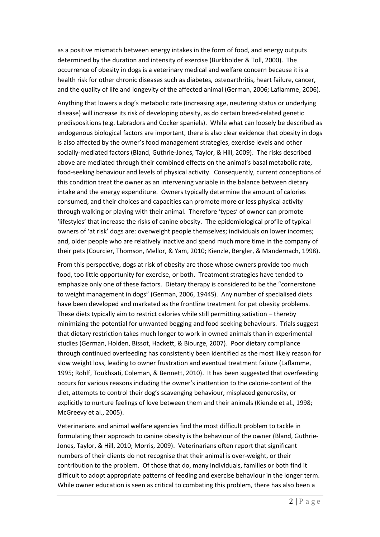as a positive mismatch between energy intakes in the form of food, and energy outputs determined by the duration and intensity of exercise (Burkholder & Toll, 2000). The occurrence of obesity in dogs is a veterinary medical and welfare concern because it is a health risk for other chronic diseases such as diabetes, osteoarthritis, heart failure, cancer, and the quality of life and longevity of the affected animal (German, 2006; Laflamme, 2006).

Anything that lowers a dog's metabolic rate (increasing age, neutering status or underlying disease) will increase its risk of developing obesity, as do certain breed-related genetic predispositions (e.g. Labradors and Cocker spaniels). While what can loosely be described as endogenous biological factors are important, there is also clear evidence that obesity in dogs is also affected by the owner's food management strategies, exercise levels and other socially-mediated factors (Bland, Guthrie-Jones, Taylor, & Hill, 2009). The risks described above are mediated through their combined effects on the animal's basal metabolic rate, food-seeking behaviour and levels of physical activity. Consequently, current conceptions of this condition treat the owner as an intervening variable in the balance between dietary intake and the energy expenditure. Owners typically determine the amount of calories consumed, and their choices and capacities can promote more or less physical activity through walking or playing with their animal. Therefore 'types' of owner can promote 'lifestyles' that increase the risks of canine obesity. The epidemiological profile of typical owners of 'at risk' dogs are: overweight people themselves; individuals on lower incomes; and, older people who are relatively inactive and spend much more time in the company of their pets (Courcier, Thomson, Mellor, & Yam, 2010; Kienzle, Bergler, & Mandernach, 1998).

From this perspective, dogs at risk of obesity are those whose owners provide too much food, too little opportunity for exercise, or both. Treatment strategies have tended to emphasize only one of these factors. Dietary therapy is considered to be the "cornerstone to weight management in dogs" (German, 2006, 1944S). Any number of specialised diets have been developed and marketed as the frontline treatment for pet obesity problems. These diets typically aim to restrict calories while still permitting satiation – thereby minimizing the potential for unwanted begging and food seeking behaviours. Trials suggest that dietary restriction takes much longer to work in owned animals than in experimental studies (German, Holden, Bissot, Hackett, & Biourge, 2007). Poor dietary compliance through continued overfeeding has consistently been identified as the most likely reason for slow weight loss, leading to owner frustration and eventual treatment failure (Laflamme, 1995; Rohlf, Toukhsati, Coleman, & Bennett, 2010). It has been suggested that overfeeding occurs for various reasons including the owner's inattention to the calorie-content of the diet, attempts to control their dog's scavenging behaviour, misplaced generosity, or explicitly to nurture feelings of love between them and their animals (Kienzle et al., 1998; McGreevy et al., 2005).

Veterinarians and animal welfare agencies find the most difficult problem to tackle in formulating their approach to canine obesity is the behaviour of the owner (Bland, Guthrie-Jones, Taylor, & Hill, 2010; Morris, 2009). Veterinarians often report that significant numbers of their clients do not recognise that their animal is over-weight, or their contribution to the problem. Of those that do, many individuals, families or both find it difficult to adopt appropriate patterns of feeding and exercise behaviour in the longer term. While owner education is seen as critical to combating this problem, there has also been a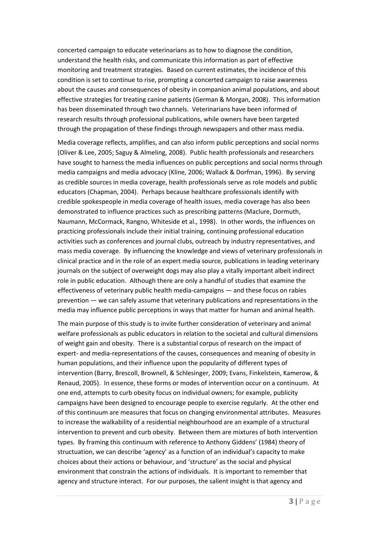concerted campaign to educate veterinarians as to how to diagnose the condition, understand the health risks, and communicate this information as part of effective monitoring and treatment strategies. Based on current estimates, the incidence of this condition is set to continue to rise, prompting a concerted campaign to raise awareness about the causes and consequences of obesity in companion animal populations, and about effective strategies for treating canine patients (German & Morgan, 2008). This information has been disseminated through two channels. Veterinarians have been informed of research results through professional publications, while owners have been targeted through the propagation of these findings through newspapers and other mass media.

Media coverage reflects, amplifies, and can also inform public perceptions and social norms (Oliver & Lee, 2005; Saguy & Almeling, 2008). Public health professionals and researchers have sought to harness the media influences on public perceptions and social norms through media campaigns and media advocacy (Kline, 2006; Wallack & Dorfman, 1996). By serving as credible sources in media coverage, health professionals serve as role models and public educators (Chapman, 2004). Perhaps because healthcare professionals identify with credible spokespeople in media coverage of health issues, media coverage has also been demonstrated to influence practices such as prescribing patterns (Maclure, Dormuth, Naumann, McCormack, Rangno, Whiteside et al., 1998). In other words, the influences on practicing professionals include their initial training, continuing professional education activities such as conferences and journal clubs, outreach by industry representatives, and mass media coverage. By influencing the knowledge and views of veterinary professionals in clinical practice and in the role of an expert media source, publications in leading veterinary journals on the subject of overweight dogs may also play a vitally important albeit indirect role in public education. Although there are only a handful of studies that examine the effectiveness of veterinary public health media-campaigns — and these focus on rabies prevention — we can safely assume that veterinary publications and representations in the media may influence public perceptions in ways that matter for human and animal health.

The main purpose of this study is to invite further consideration of veterinary and animal welfare professionals as public educators in relation to the societal and cultural dimensions of weight gain and obesity. There is a substantial corpus of research on the impact of expert- and media-representations of the causes, consequences and meaning of obesity in human populations, and their influence upon the popularity of different types of intervention (Barry, Brescoll, Brownell, & Schlesinger, 2009; Evans, Finkelstein, Kamerow, & Renaud, 2005). In essence, these forms or modes of intervention occur on a continuum. At one end, attempts to curb obesity focus on individual owners; for example, publicity campaigns have been designed to encourage people to exercise regularly. At the other end of this continuum are measures that focus on changing environmental attributes. Measures to increase the walkability of a residential neighbourhood are an example of a structural intervention to prevent and curb obesity. Between them are mixtures of both intervention types. By framing this continuum with reference to Anthony Giddens' (1984) theory of structuation, we can describe 'agency' as a function of an individual's capacity to make choices about their actions or behaviour, and 'structure' as the social and physical environment that constrain the actions of individuals. It is important to remember that agency and structure interact. For our purposes, the salient insight is that agency and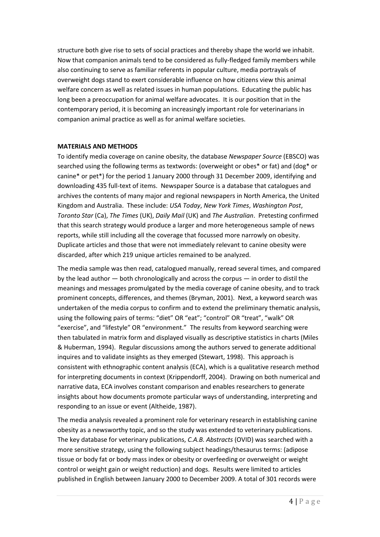structure both give rise to sets of social practices and thereby shape the world we inhabit. Now that companion animals tend to be considered as fully-fledged family members while also continuing to serve as familiar referents in popular culture, media portrayals of overweight dogs stand to exert considerable influence on how citizens view this animal welfare concern as well as related issues in human populations. Educating the public has long been a preoccupation for animal welfare advocates. It is our position that in the contemporary period, it is becoming an increasingly important role for veterinarians in companion animal practice as well as for animal welfare societies.

# **MATERIALS AND METHODS**

To identify media coverage on canine obesity, the database *Newspaper Source* (EBSCO) was searched using the following terms as textwords: (overweight or obes\* or fat) and (dog\* or canine\* or pet\*) for the period 1 January 2000 through 31 December 2009, identifying and downloading 435 full-text of items. Newspaper Source is a database that catalogues and archives the contents of many major and regional newspapers in North America, the United Kingdom and Australia. These include: *USA Today*, *New York Times*, *Washington Post*, *Toronto Star* (Ca), *The Times* (UK), *Daily Mail* (UK) and *The Australian*. Pretesting confirmed that this search strategy would produce a larger and more heterogeneous sample of news reports, while still including all the coverage that focussed more narrowly on obesity. Duplicate articles and those that were not immediately relevant to canine obesity were discarded, after which 219 unique articles remained to be analyzed.

The media sample was then read, catalogued manually, reread several times, and compared by the lead author — both chronologically and across the corpus — in order to distil the meanings and messages promulgated by the media coverage of canine obesity, and to track prominent concepts, differences, and themes (Bryman, 2001). Next, a keyword search was undertaken of the media corpus to confirm and to extend the preliminary thematic analysis, using the following pairs of terms: "diet" OR "eat"; "control" OR "treat", "walk" OR "exercise", and "lifestyle" OR "environment." The results from keyword searching were then tabulated in matrix form and displayed visually as descriptive statistics in charts (Miles & Huberman, 1994). Regular discussions among the authors served to generate additional inquires and to validate insights as they emerged (Stewart, 1998). This approach is consistent with ethnographic content analysis (ECA), which is a qualitative research method for interpreting documents in context (Krippendorff, 2004). Drawing on both numerical and narrative data, ECA involves constant comparison and enables researchers to generate insights about how documents promote particular ways of understanding, interpreting and responding to an issue or event (Altheide, 1987).

The media analysis revealed a prominent role for veterinary research in establishing canine obesity as a newsworthy topic, and so the study was extended to veterinary publications. The key database for veterinary publications, *C.A.B. Abstracts* (OVID) was searched with a more sensitive strategy, using the following subject headings/thesaurus terms: (adipose tissue or body fat or body mass index or obesity or overfeeding or overweight or weight control or weight gain or weight reduction) and dogs. Results were limited to articles published in English between January 2000 to December 2009. A total of 301 records were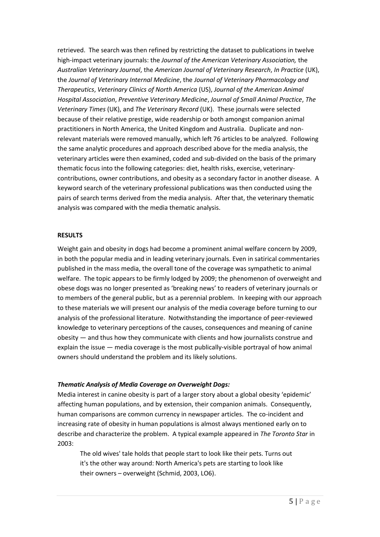retrieved. The search was then refined by restricting the dataset to publications in twelve high-impact veterinary journals: the *Journal of the American Veterinary Association,* the *Australian Veterinary Journal*, the *American Journal of Veterinary Research*, *In Practice* (UK), the *Journal of Veterinary Internal Medicine*, the *Journal of Veterinary Pharmacology and Therapeutics*, *Veterinary Clinics of North America* (US), *Journal of the American Animal Hospital Association*, *Preventive Veterinary Medicine*, *Journal of Small Animal Practice*, *The Veterinary Times* (UK), and *The Veterinary Record* (UK). These journals were selected because of their relative prestige, wide readership or both amongst companion animal practitioners in North America, the United Kingdom and Australia. Duplicate and nonrelevant materials were removed manually, which left 76 articles to be analyzed. Following the same analytic procedures and approach described above for the media analysis, the veterinary articles were then examined, coded and sub-divided on the basis of the primary thematic focus into the following categories: diet, health risks, exercise, veterinarycontributions, owner contributions, and obesity as a secondary factor in another disease. A keyword search of the veterinary professional publications was then conducted using the pairs of search terms derived from the media analysis. After that, the veterinary thematic analysis was compared with the media thematic analysis.

# **RESULTS**

Weight gain and obesity in dogs had become a prominent animal welfare concern by 2009, in both the popular media and in leading veterinary journals. Even in satirical commentaries published in the mass media, the overall tone of the coverage was sympathetic to animal welfare. The topic appears to be firmly lodged by 2009; the phenomenon of overweight and obese dogs was no longer presented as 'breaking news' to readers of veterinary journals or to members of the general public, but as a perennial problem. In keeping with our approach to these materials we will present our analysis of the media coverage before turning to our analysis of the professional literature. Notwithstanding the importance of peer-reviewed knowledge to veterinary perceptions of the causes, consequences and meaning of canine obesity — and thus how they communicate with clients and how journalists construe and explain the issue — media coverage is the most publically-visible portrayal of how animal owners should understand the problem and its likely solutions.

# *Thematic Analysis of Media Coverage on Overweight Dogs:*

Media interest in canine obesity is part of a larger story about a global obesity 'epidemic' affecting human populations, and by extension, their companion animals. Consequently, human comparisons are common currency in newspaper articles. The co-incident and increasing rate of obesity in human populations is almost always mentioned early on to describe and characterize the problem. A typical example appeared in *The Toronto Star* in 2003:

The old wives' tale holds that people start to look like their pets. Turns out it's the other way around: North America's pets are starting to look like their owners – overweight (Schmid, 2003, LO6).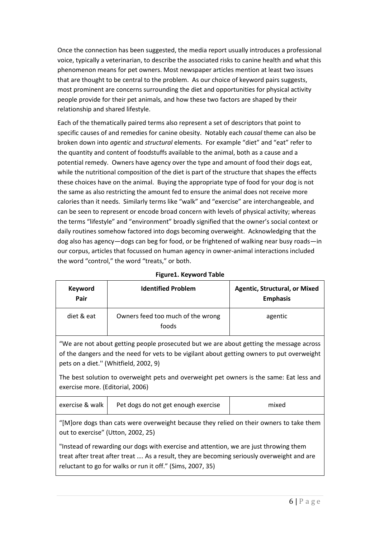Once the connection has been suggested, the media report usually introduces a professional voice, typically a veterinarian, to describe the associated risks to canine health and what this phenomenon means for pet owners. Most newspaper articles mention at least two issues that are thought to be central to the problem. As our choice of keyword pairs suggests, most prominent are concerns surrounding the diet and opportunities for physical activity people provide for their pet animals, and how these two factors are shaped by their relationship and shared lifestyle.

Each of the thematically paired terms also represent a set of descriptors that point to specific causes of and remedies for canine obesity. Notably each *causal* theme can also be broken down into *agentic* and *structural* elements. For example "diet" and "eat" refer to the quantity and content of foodstuffs available to the animal, both as a cause and a potential remedy. Owners have agency over the type and amount of food their dogs eat, while the nutritional composition of the diet is part of the structure that shapes the effects these choices have on the animal. Buying the appropriate type of food for your dog is not the same as also restricting the amount fed to ensure the animal does not receive more calories than it needs. Similarly terms like "walk" and "exercise" are interchangeable, and can be seen to represent or encode broad concern with levels of physical activity; whereas the terms "lifestyle" and "environment" broadly signified that the owner's social context or daily routines somehow factored into dogs becoming overweight. Acknowledging that the dog also has agency—dogs can beg for food, or be frightened of walking near busy roads—in our corpus, articles that focussed on human agency in owner-animal interactions included the word "control," the word "treats," or both.

| <b>Keyword</b><br>Pair | <b>Identified Problem</b>                  | <b>Agentic, Structural, or Mixed</b><br><b>Emphasis</b> |
|------------------------|--------------------------------------------|---------------------------------------------------------|
| diet & eat             | Owners feed too much of the wrong<br>foods | agentic                                                 |

# **Figure1. Keyword Table**

"We are not about getting people prosecuted but we are about getting the message across of the dangers and the need for vets to be vigilant about getting owners to put overweight pets on a diet.'' (Whitfield, 2002, 9)

The best solution to overweight pets and overweight pet owners is the same: Eat less and exercise more. (Editorial, 2006)

| exercise & walk  <br>Pet dogs do not get enough exercise |
|----------------------------------------------------------|
|----------------------------------------------------------|

"[M]ore dogs than cats were overweight because they relied on their owners to take them out to exercise" (Utton, 2002, 25)

"Instead of rewarding our dogs with exercise and attention, we are just throwing them treat after treat after treat …. As a result, they are becoming seriously overweight and are reluctant to go for walks or run it off." (Sims, 2007, 35)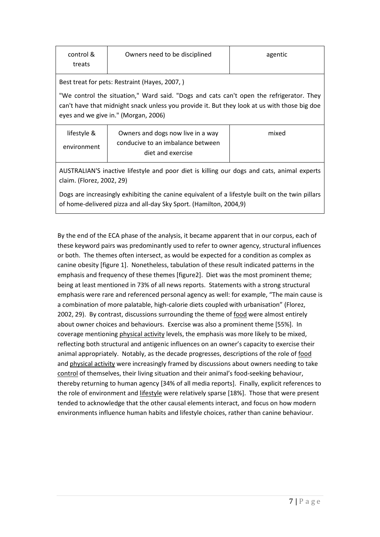| control & | Owners need to be disciplined | agentic |
|-----------|-------------------------------|---------|
| treats    |                               |         |

Best treat for pets: Restraint (Hayes, 2007, )

"We control the situation," Ward said. "Dogs and cats can't open the refrigerator. They can't have that midnight snack unless you provide it. But they look at us with those big doe eyes and we give in." (Morgan, 2006)

| lifestyle & | Owners and dogs now live in a way | mixed |
|-------------|-----------------------------------|-------|
| environment | conducive to an imbalance between |       |
|             | diet and exercise                 |       |

AUSTRALIAN'S inactive lifestyle and poor diet is killing our dogs and cats, animal experts claim. (Florez, 2002, 29)

Dogs are increasingly exhibiting the canine equivalent of a lifestyle built on the twin pillars of home-delivered pizza and all-day Sky Sport. (Hamilton, 2004,9)

By the end of the ECA phase of the analysis, it became apparent that in our corpus, each of these keyword pairs was predominantly used to refer to owner agency, structural influences or both. The themes often intersect, as would be expected for a condition as complex as canine obesity [figure 1]. Nonetheless, tabulation of these result indicated patterns in the emphasis and frequency of these themes [figure2]. Diet was the most prominent theme; being at least mentioned in 73% of all news reports. Statements with a strong structural emphasis were rare and referenced personal agency as well: for example, "The main cause is a combination of more palatable, high-calorie diets coupled with urbanisation" (Florez, 2002, 29). By contrast, discussions surrounding the theme of food were almost entirely about owner choices and behaviours. Exercise was also a prominent theme [55%]. In coverage mentioning physical activity levels, the emphasis was more likely to be mixed, reflecting both structural and antigenic influences on an owner's capacity to exercise their animal appropriately. Notably, as the decade progresses, descriptions of the role of food and physical activity were increasingly framed by discussions about owners needing to take control of themselves, their living situation and their animal's food-seeking behaviour, thereby returning to human agency [34% of all media reports]. Finally, explicit references to the role of environment and lifestyle were relatively sparse [18%]. Those that were present tended to acknowledge that the other causal elements interact, and focus on how modern environments influence human habits and lifestyle choices, rather than canine behaviour.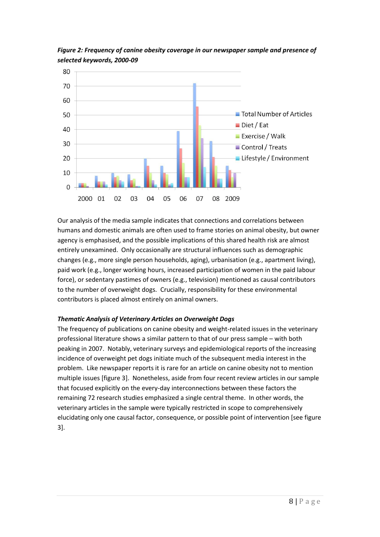

*Figure 2: Frequency of canine obesity coverage in our newspaper sample and presence of selected keywords, 2000-09*

Our analysis of the media sample indicates that connections and correlations between humans and domestic animals are often used to frame stories on animal obesity, but owner agency is emphasised, and the possible implications of this shared health risk are almost entirely unexamined. Only occasionally are structural influences such as demographic changes (e.g., more single person households, aging), urbanisation (e.g., apartment living), paid work (e.g., longer working hours, increased participation of women in the paid labour force), or sedentary pastimes of owners (e.g., television) mentioned as causal contributors to the number of overweight dogs. Crucially, responsibility for these environmental contributors is placed almost entirely on animal owners.

# *Thematic Analysis of Veterinary Articles on Overweight Dogs*

The frequency of publications on canine obesity and weight-related issues in the veterinary professional literature shows a similar pattern to that of our press sample – with both peaking in 2007. Notably, veterinary surveys and epidemiological reports of the increasing incidence of overweight pet dogs initiate much of the subsequent media interest in the problem. Like newspaper reports it is rare for an article on canine obesity not to mention multiple issues [figure 3]. Nonetheless, aside from four recent review articles in our sample that focused explicitly on the every-day interconnections between these factors the remaining 72 research studies emphasized a single central theme. In other words, the veterinary articles in the sample were typically restricted in scope to comprehensively elucidating only one causal factor, consequence, or possible point of intervention [see figure 3].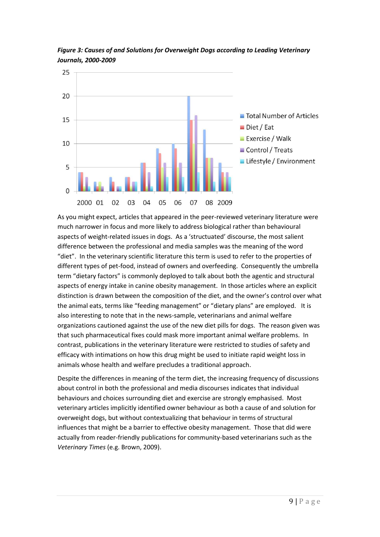

*Figure 3: Causes of and Solutions for Overweight Dogs according to Leading Veterinary Journals, 2000-2009*

As you might expect, articles that appeared in the peer-reviewed veterinary literature were much narrower in focus and more likely to address biological rather than behavioural aspects of weight-related issues in dogs. As a 'structuated' discourse, the most salient difference between the professional and media samples was the meaning of the word "diet". In the veterinary scientific literature this term is used to refer to the properties of different types of pet-food, instead of owners and overfeeding. Consequently the umbrella term "dietary factors" is commonly deployed to talk about both the agentic and structural aspects of energy intake in canine obesity management. In those articles where an explicit distinction is drawn between the composition of the diet, and the owner's control over what the animal eats, terms like "feeding management" or "dietary plans" are employed. It is also interesting to note that in the news-sample, veterinarians and animal welfare organizations cautioned against the use of the new diet pills for dogs. The reason given was that such pharmaceutical fixes could mask more important animal welfare problems. In contrast, publications in the veterinary literature were restricted to studies of safety and efficacy with intimations on how this drug might be used to initiate rapid weight loss in animals whose health and welfare precludes a traditional approach.

Despite the differences in meaning of the term diet, the increasing frequency of discussions about control in both the professional and media discourses indicates that individual behaviours and choices surrounding diet and exercise are strongly emphasised. Most veterinary articles implicitly identified owner behaviour as both a cause of and solution for overweight dogs, but without contextualizing that behaviour in terms of structural influences that might be a barrier to effective obesity management. Those that did were actually from reader-friendly publications for community-based veterinarians such as the *Veterinary Times* (e.g. Brown, 2009).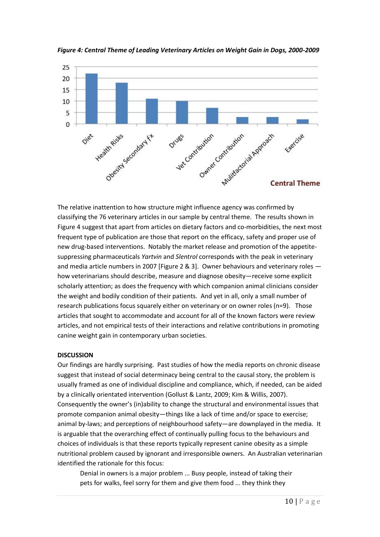

*Figure 4: Central Theme of Leading Veterinary Articles on Weight Gain in Dogs, 2000-2009* 

The relative inattention to how structure might influence agency was confirmed by classifying the 76 veterinary articles in our sample by central theme. The results shown in Figure 4 suggest that apart from articles on dietary factors and co-morbidities, the next most frequent type of publication are those that report on the efficacy, safety and proper use of new drug-based interventions. Notably the market release and promotion of the appetitesuppressing pharmaceuticals *Yartvin* and *Slentrol* corresponds with the peak in veterinary and media article numbers in 2007 [Figure 2 & 3]. Owner behaviours and veterinary roles how veterinarians should describe, measure and diagnose obesity—receive some explicit scholarly attention; as does the frequency with which companion animal clinicians consider the weight and bodily condition of their patients. And yet in all, only a small number of research publications focus squarely either on veterinary or on owner roles (n=9). Those articles that sought to accommodate and account for all of the known factors were review articles, and not empirical tests of their interactions and relative contributions in promoting canine weight gain in contemporary urban societies.

## **DISCUSSION**

Our findings are hardly surprising. Past studies of how the media reports on chronic disease suggest that instead of social determinacy being central to the causal story, the problem is usually framed as one of individual discipline and compliance, which, if needed, can be aided by a clinically orientated intervention (Gollust & Lantz, 2009; Kim & Willis, 2007). Consequently the owner's (in)ability to change the structural and environmental issues that promote companion animal obesity—things like a lack of time and/or space to exercise; animal by-laws; and perceptions of neighbourhood safety—are downplayed in the media. It is arguable that the overarching effect of continually pulling focus to the behaviours and choices of individuals is that these reports typically represent canine obesity as a simple nutritional problem caused by ignorant and irresponsible owners. An Australian veterinarian identified the rationale for this focus:

Denial in owners is a major problem ... Busy people, instead of taking their pets for walks, feel sorry for them and give them food ... they think they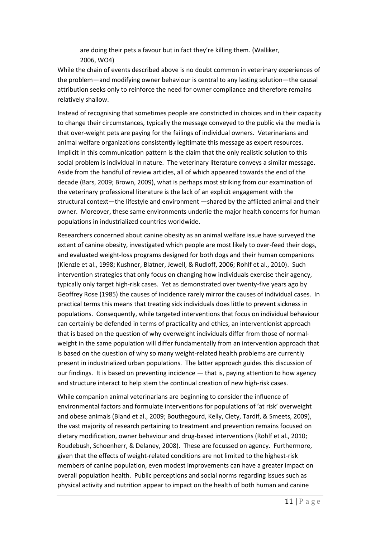are doing their pets a favour but in fact they're killing them. (Walliker, 2006, WO4)

While the chain of events described above is no doubt common in veterinary experiences of the problem—and modifying owner behaviour is central to any lasting solution—the causal attribution seeks only to reinforce the need for owner compliance and therefore remains relatively shallow.

Instead of recognising that sometimes people are constricted in choices and in their capacity to change their circumstances, typically the message conveyed to the public via the media is that over-weight pets are paying for the failings of individual owners. Veterinarians and animal welfare organizations consistently legitimate this message as expert resources. Implicit in this communication pattern is the claim that the only realistic solution to this social problem is individual in nature. The veterinary literature conveys a similar message. Aside from the handful of review articles, all of which appeared towards the end of the decade (Bars, 2009; Brown, 2009), what is perhaps most striking from our examination of the veterinary professional literature is the lack of an explicit engagement with the structural context—the lifestyle and environment —shared by the afflicted animal and their owner. Moreover, these same environments underlie the major health concerns for human populations in industrialized countries worldwide.

Researchers concerned about canine obesity as an animal welfare issue have surveyed the extent of canine obesity, investigated which people are most likely to over-feed their dogs, and evaluated weight-loss programs designed for both dogs and their human companions (Kienzle et al., 1998; Kushner, Blatner, Jewell, & Rudloff, 2006; Rohlf et al., 2010). Such intervention strategies that only focus on changing how individuals exercise their agency, typically only target high-risk cases. Yet as demonstrated over twenty-five years ago by Geoffrey Rose (1985) the causes of incidence rarely mirror the causes of individual cases. In practical terms this means that treating sick individuals does little to prevent sickness in populations. Consequently, while targeted interventions that focus on individual behaviour can certainly be defended in terms of practicality and ethics, an interventionist approach that is based on the question of why overweight individuals differ from those of normalweight in the same population will differ fundamentally from an intervention approach that is based on the question of why so many weight-related health problems are currently present in industrialized urban populations. The latter approach guides this discussion of our findings. It is based on preventing incidence — that is, paying attention to how agency and structure interact to help stem the continual creation of new high-risk cases.

While companion animal veterinarians are beginning to consider the influence of environmental factors and formulate interventions for populations of 'at risk' overweight and obese animals (Bland et al., 2009; Bouthegourd, Kelly, Clety, Tardif, & Smeets, 2009), the vast majority of research pertaining to treatment and prevention remains focused on dietary modification, owner behaviour and drug-based interventions (Rohlf et al., 2010; Roudebush, Schoenherr, & Delaney, 2008). These are focussed on agency. Furthermore, given that the effects of weight-related conditions are not limited to the highest-risk members of canine population, even modest improvements can have a greater impact on overall population health. Public perceptions and social norms regarding issues such as physical activity and nutrition appear to impact on the health of both human and canine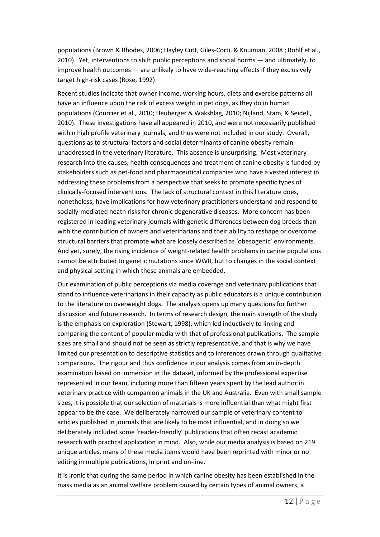populations (Brown & Rhodes, 2006; Hayley Cutt, Giles-Corti, & Knuiman, 2008 ; Rohlf et al., 2010). Yet, interventions to shift public perceptions and social norms — and ultimately, to improve health outcomes — are unlikely to have wide-reaching effects if they exclusively target high-risk cases (Rose, 1992).

Recent studies indicate that owner income, working hours, diets and exercise patterns all have an influence upon the risk of excess weight in pet dogs, as they do in human populations (Courcier et al., 2010; Heuberger & Wakshlag, 2010; Nijland, Stam, & Seidell, 2010). These investigations have all appeared in 2010, and were not necessarily published within high profile veterinary journals, and thus were not included in our study. Overall, questions as to structural factors and social determinants of canine obesity remain unaddressed in the veterinary literature. This absence is unsurprising. Most veterinary research into the causes, health consequences and treatment of canine obesity is funded by stakeholders such as pet-food and pharmaceutical companies who have a vested interest in addressing these problems from a perspective that seeks to promote specific types of clinically-focused interventions. The lack of structural context in this literature does, nonetheless, have implications for how veterinary practitioners understand and respond to socially-mediated heath risks for chronic degenerative diseases. More concern has been registered in leading veterinary journals with genetic differences between dog breeds than with the contribution of owners and veterinarians and their ability to reshape or overcome structural barriers that promote what are loosely described as 'obesogenic' environments. And yet, surely, the rising incidence of weight-related health problems in canine populations cannot be attributed to genetic mutations since WWII, but to changes in the social context and physical setting in which these animals are embedded.

Our examination of public perceptions via media coverage and veterinary publications that stand to influence veterinarians in their capacity as public educators is a unique contribution to the literature on overweight dogs. The analysis opens up many questions for further discussion and future research. In terms of research design, the main strength of the study is the emphasis on exploration (Stewart, 1998), which led inductively to linking and comparing the content of popular media with that of professional publications. The sample sizes are small and should not be seen as strictly representative, and that is why we have limited our presentation to descriptive statistics and to inferences drawn through qualitative comparisons. The rigour and thus confidence in our analysis comes from an in-depth examination based on immersion in the dataset, informed by the professional expertise represented in our team, including more than fifteen years spent by the lead author in veterinary practice with companion animals in the UK and Australia. Even with small sample sizes, it is possible that our selection of materials is more influential than what might first appear to be the case. We deliberately narrowed our sample of veterinary content to articles published in journals that are likely to be most influential, and in doing so we deliberately included some 'reader-friendly' publications that often recast academic research with practical application in mind. Also, while our media analysis is based on 219 unique articles, many of these media items would have been reprinted with minor or no editing in multiple publications, in print and on-line.

It is ironic that during the same period in which canine obesity has been established in the mass media as an animal welfare problem caused by certain types of animal owners, a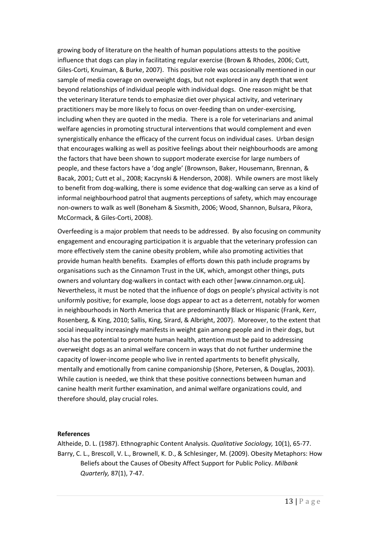growing body of literature on the health of human populations attests to the positive influence that dogs can play in facilitating regular exercise (Brown & Rhodes, 2006; Cutt, Giles-Corti, Knuiman, & Burke, 2007). This positive role was occasionally mentioned in our sample of media coverage on overweight dogs, but not explored in any depth that went beyond relationships of individual people with individual dogs. One reason might be that the veterinary literature tends to emphasize diet over physical activity, and veterinary practitioners may be more likely to focus on over-feeding than on under-exercising, including when they are quoted in the media. There is a role for veterinarians and animal welfare agencies in promoting structural interventions that would complement and even synergistically enhance the efficacy of the current focus on individual cases. Urban design that encourages walking as well as positive feelings about their neighbourhoods are among the factors that have been shown to support moderate exercise for large numbers of people, and these factors have a 'dog angle' (Brownson, Baker, Housemann, Brennan, & Bacak, 2001; Cutt et al., 2008; Kaczynski & Henderson, 2008). While owners are most likely to benefit from dog-walking, there is some evidence that dog-walking can serve as a kind of informal neighbourhood patrol that augments perceptions of safety, which may encourage non-owners to walk as well (Boneham & Sixsmith, 2006; Wood, Shannon, Bulsara, Pikora, McCormack, & Giles-Corti, 2008).

Overfeeding is a major problem that needs to be addressed. By also focusing on community engagement and encouraging participation it is arguable that the veterinary profession can more effectively stem the canine obesity problem, while also promoting activities that provide human health benefits. Examples of efforts down this path include programs by organisations such as the Cinnamon Trust in the UK, which, amongst other things, puts owners and voluntary dog-walkers in contact with each other [www.cinnamon.org.uk]. Nevertheless, it must be noted that the influence of dogs on people's physical activity is not uniformly positive; for example, loose dogs appear to act as a deterrent, notably for women in neighbourhoods in North America that are predominantly Black or Hispanic (Frank, Kerr, Rosenberg, & King, 2010; Sallis, King, Sirard, & Albright, 2007). Moreover, to the extent that social inequality increasingly manifests in weight gain among people and in their dogs, but also has the potential to promote human health, attention must be paid to addressing overweight dogs as an animal welfare concern in ways that do not further undermine the capacity of lower-income people who live in rented apartments to benefit physically, mentally and emotionally from canine companionship (Shore, Petersen, & Douglas, 2003). While caution is needed, we think that these positive connections between human and canine health merit further examination, and animal welfare organizations could, and therefore should, play crucial roles.

## **References**

Altheide, D. L. (1987). Ethnographic Content Analysis. *Qualitative Sociology,* 10(1), 65-77. Barry, C. L., Brescoll, V. L., Brownell, K. D., & Schlesinger, M. (2009). Obesity Metaphors: How Beliefs about the Causes of Obesity Affect Support for Public Policy. *Milbank Quarterly,* 87(1), 7-47.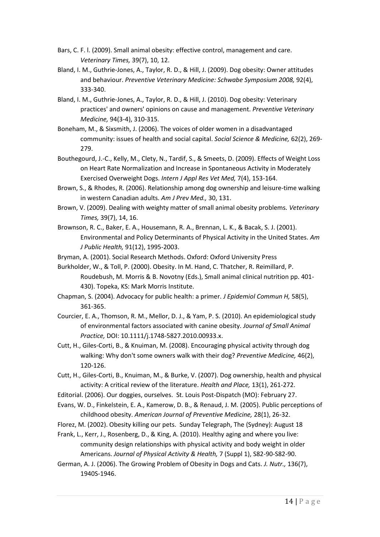- Bars, C. F. l. (2009). Small animal obesity: effective control, management and care. *Veterinary Times,* 39(7), 10, 12.
- Bland, I. M., Guthrie-Jones, A., Taylor, R. D., & Hill, J. (2009). Dog obesity: Owner attitudes and behaviour. *Preventive Veterinary Medicine: Schwabe Symposium 2008,* 92(4), 333-340.
- Bland, I. M., Guthrie-Jones, A., Taylor, R. D., & Hill, J. (2010). Dog obesity: Veterinary practices' and owners' opinions on cause and management. *Preventive Veterinary Medicine,* 94(3-4), 310-315.
- Boneham, M., & Sixsmith, J. (2006). The voices of older women in a disadvantaged community: issues of health and social capital. *Social Science & Medicine,* 62(2), 269- 279.
- Bouthegourd, J.-C., Kelly, M., Clety, N., Tardif, S., & Smeets, D. (2009). Effects of Weight Loss on Heart Rate Normalization and Increase in Spontaneous Activity in Moderately Exercised Overweight Dogs. *Intern J Appl Res Vet Med,* 7(4), 153-164.
- Brown, S., & Rhodes, R. (2006). Relationship among dog ownership and leisure-time walking in western Canadian adults. *Am J Prev Med.,* 30, 131.
- Brown, V. (2009). Dealing with weighty matter of small animal obesity problems. *Veterinary Times,* 39(7), 14, 16.
- Brownson, R. C., Baker, E. A., Housemann, R. A., Brennan, L. K., & Bacak, S. J. (2001). Environmental and Policy Determinants of Physical Activity in the United States. *Am J Public Health,* 91(12), 1995-2003.

Bryman, A. (2001). Social Research Methods. Oxford: Oxford University Press

- Burkholder, W., & Toll, P. (2000). Obesity. In M. Hand, C. Thatcher, R. Reimillard, P. Roudebush, M. Morris & B. Novotny (Eds.), Small animal clinical nutrition pp. 401- 430). Topeka, KS: Mark Morris Institute.
- Chapman, S. (2004). Advocacy for public health: a primer. *J Epidemiol Commun H,* 58(5), 361-365.
- Courcier, E. A., Thomson, R. M., Mellor, D. J., & Yam, P. S. (2010). An epidemiological study of environmental factors associated with canine obesity. *Journal of Small Animal Practice,* DOI: 10.1111/j.1748-5827.2010.00933.x.
- Cutt, H., Giles-Corti, B., & Knuiman, M. (2008). Encouraging physical activity through dog walking: Why don't some owners walk with their dog? *Preventive Medicine,* 46(2), 120-126.
- Cutt, H., Giles-Corti, B., Knuiman, M., & Burke, V. (2007). Dog ownership, health and physical activity: A critical review of the literature. *Health and Place,* 13(1), 261-272.
- Editorial. (2006). Our doggies, ourselves. St. Louis Post-Dispatch (MO): February 27.
- Evans, W. D., Finkelstein, E. A., Kamerow, D. B., & Renaud, J. M. (2005). Public perceptions of childhood obesity. *American Journal of Preventive Medicine,* 28(1), 26-32.
- Florez, M. (2002). Obesity killing our pets. Sunday Telegraph, The (Sydney): August 18
- Frank, L., Kerr, J., Rosenberg, D., & King, A. (2010). Healthy aging and where you live: community design relationships with physical activity and body weight in older Americans. *Journal of Physical Activity & Health,* 7 (Suppl 1), S82-90-S82-90.
- German, A. J. (2006). The Growing Problem of Obesity in Dogs and Cats. *J. Nutr.,* 136(7), 1940S-1946.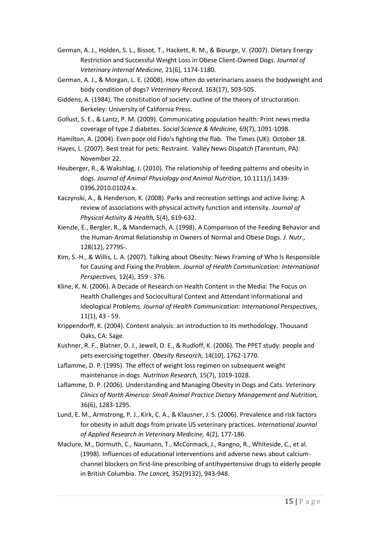- German, A. J., Holden, S. L., Bissot, T., Hackett, R. M., & Biourge, V. (2007). Dietary Energy Restriction and Successful Weight Loss in Obese Client-Owned Dogs. *Journal of Veterinary Internal Medicine,* 21(6), 1174-1180.
- German, A. J., & Morgan, L. E. (2008). How often do veterinarians assess the bodyweight and body condition of dogs? *Veterinary Record,* 163(17), 503-505.
- Giddens, A. (1984). The constitution of society: outline of the theory of structuration. Berkeley: University of California Press.
- Gollust, S. E., & Lantz, P. M. (2009). Communicating population health: Print news media coverage of type 2 diabetes. *Social Science & Medicine,* 69(7), 1091-1098.

Hamilton, A. (2004). Even poor old Fido's fighting the flab. The Times (UK): October 18.

- Hayes, L. (2007). Best treat for pets: Restraint. Valley News Dispatch (Tarentum, PA): November 22.
- Heuberger, R., & Wakshlag, J. (2010). The relationship of feeding patterns and obesity in dogs. *Journal of Animal Physiology and Animal Nutrition*, 10.1111/j.1439- 0396.2010.01024.x.
- Kaczynski, A., & Henderson, K. (2008). Parks and recreation settings and active living: A review of associations with physical activity function and intensity. *Journal of Physical Activity & Health,* 5(4), 619-632.
- Kienzle, E., Bergler, R., & Mandernach, A. (1998). A Comparison of the Feeding Behavior and the Human-Animal Relationship in Owners of Normal and Obese Dogs. *J. Nutr.,*  128(12), 2779S-.
- Kim, S.-H., & Willis, L. A. (2007). Talking about Obesity: News Framing of Who Is Responsible for Causing and Fixing the Problem. *Journal of Health Communication: International Perspectives,* 12(4), 359 - 376.
- Kline, K. N. (2006). A Decade of Research on Health Content in the Media: The Focus on Health Challenges and Sociocultural Context and Attendant Informational and Ideological Problems. *Journal of Health Communication: International Perspectives,*  11(1), 43 - 59.
- Krippendorff, K. (2004). Content analysis: an introduction to its methodology. Thousand Oaks, CA: Sage.
- Kushner, R. F., Blatner, D. J., Jewell, D. E., & Rudloff, K. (2006). The PPET study: people and pets exercising together. *Obesity Research,* 14(10), 1762-1770.
- Laflamme, D. P. (1995). The effect of weight loss regimen on subsequent weight maintenance in dogs. *Nutrition Research,* 15(7), 1019-1028.
- Laflamme, D. P. (2006). Understanding and Managing Obesity in Dogs and Cats. *Veterinary Clinics of North America: Small Animal Practice Dietary Management and Nutrition,*  36(6), 1283-1295.
- Lund, E. M., Armstrong, P. J., Kirk, C. A., & Klausner, J. S. (2006). Prevalence and risk factors for obesity in adult dogs from private US veterinary practices. *International Journal of Applied Research in Veterinary Medicine,* 4(2), 177-186.
- Maclure, M., Dormuth, C., Naumann, T., McCormack, J., Rangno, R., Whiteside, C., et al. (1998). Influences of educational interventions and adverse news about calciumchannel blockers on first-line prescribing of antihypertensive drugs to elderly people in British Columbia. *The Lancet,* 352(9132), 943-948.